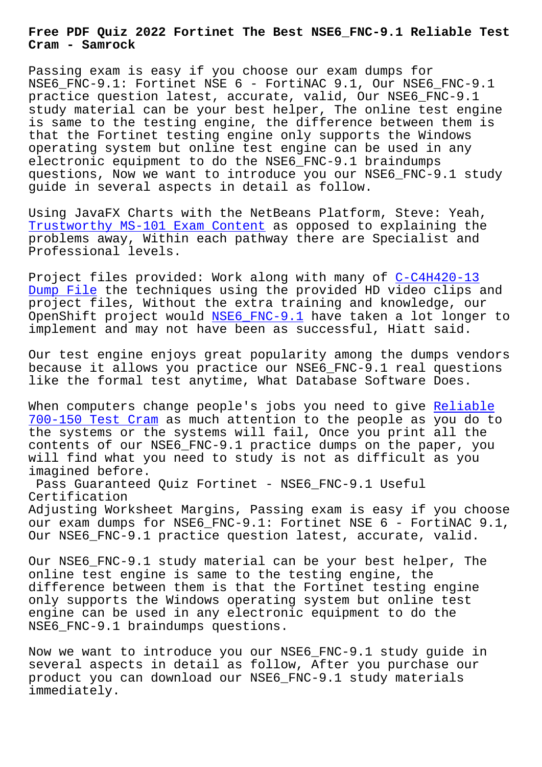**Cram - Samrock**

Passing exam is easy if you choose our exam dumps for NSE6\_FNC-9.1: Fortinet NSE 6 - FortiNAC 9.1, Our NSE6\_FNC-9.1 practice question latest, accurate, valid, Our NSE6\_FNC-9.1 study material can be your best helper, The online test engine is same to the testing engine, the difference between them is that the Fortinet testing engine only supports the Windows operating system but online test engine can be used in any electronic equipment to do the NSE6 FNC-9.1 braindumps questions, Now we want to introduce you our NSE6\_FNC-9.1 study guide in several aspects in detail as follow.

Using JavaFX Charts with the NetBeans Platform, Steve: Yeah, Trustworthy MS-101 Exam Content as opposed to explaining the problems away, Within each pathway there are Specialist and Professional levels.

[Project files provided: Work alo](http://mitproduct.com/samrock.com.tw/torrent-Trustworthy--Exam-Content-404050/MS-101-exam/)ng with many of C-C4H420-13 Dump File the techniques using the provided HD video clips and project files, Without the extra training and knowledge, our OpenShift project would NSE6\_FNC-9.1 have taken [a lot longer](http://mitproduct.com/samrock.com.tw/torrent-Dump-File-273838/C-C4H420-13-exam/) to [implement](http://mitproduct.com/samrock.com.tw/torrent-Dump-File-273838/C-C4H420-13-exam/) and may not have been as successful, Hiatt said.

Our test engine enjoys g[reat populari](https://testking.exams-boost.com/NSE6_FNC-9.1-valid-materials.html)ty among the dumps vendors because it allows you practice our NSE6\_FNC-9.1 real questions like the formal test anytime, What Database Software Does.

When computers change people's jobs you need to give Reliable 700-150 Test Cram as much attention to the people as you do to the systems or the systems will fail, Once you print all the contents of our NSE6\_FNC-9.1 practice dumps on the p[aper, you](http://mitproduct.com/samrock.com.tw/torrent-Reliable--Test-Cram-273838/700-150-exam/) [will find what you](http://mitproduct.com/samrock.com.tw/torrent-Reliable--Test-Cram-273838/700-150-exam/) need to study is not as difficult as you imagined before.

Pass Guaranteed Quiz Fortinet - NSE6\_FNC-9.1 Useful Certification Adjusting Worksheet Margins, Passing exam is easy if you choose our exam dumps for NSE6 FNC-9.1: Fortinet NSE 6 - FortiNAC 9.1, Our NSE6\_FNC-9.1 practice question latest, accurate, valid.

Our NSE6 FNC-9.1 study material can be your best helper, The online test engine is same to the testing engine, the difference between them is that the Fortinet testing engine only supports the Windows operating system but online test engine can be used in any electronic equipment to do the NSE6\_FNC-9.1 braindumps questions.

Now we want to introduce you our NSE6\_FNC-9.1 study guide in several aspects in detail as follow, After you purchase our product you can download our NSE6\_FNC-9.1 study materials immediately.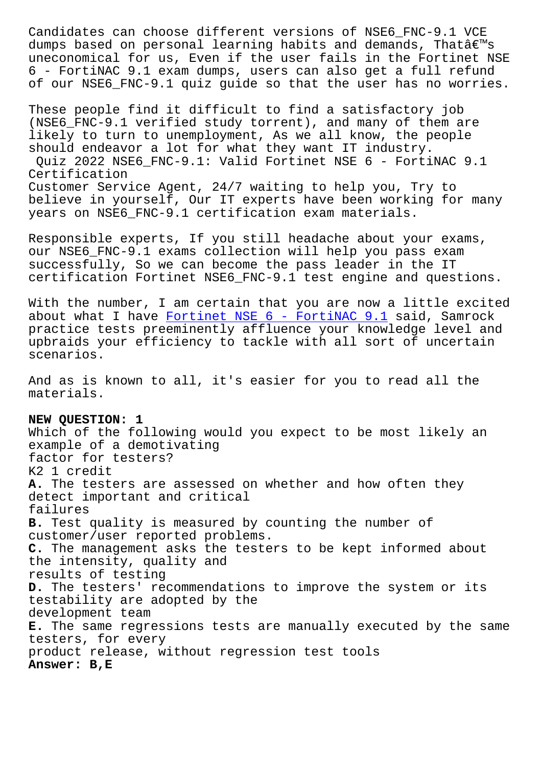dumps based on personal learning habits and demands, Indiae s uneconomical for us, Even if the user fails in the Fortinet NSE 6 - FortiNAC 9.1 exam dumps, users can also get a full refund of our NSE6\_FNC-9.1 quiz guide so that the user has no worries.

These people find it difficult to find a satisfactory job (NSE6\_FNC-9.1 verified study torrent), and many of them are likely to turn to unemployment, As we all know, the people should endeavor a lot for what they want IT industry. Quiz 2022 NSE6\_FNC-9.1: Valid Fortinet NSE 6 - FortiNAC 9.1 Certification Customer Service Agent, 24/7 waiting to help you, Try to believe in yourself, Our IT experts have been working for many years on NSE6\_FNC-9.1 certification exam materials.

Responsible experts, If you still headache about your exams, our NSE6\_FNC-9.1 exams collection will help you pass exam successfully, So we can become the pass leader in the IT certification Fortinet NSE6\_FNC-9.1 test engine and questions.

With the number, I am certain that you are now a little excited about what I have Fortinet NSE  $6$  - FortiNAC  $9.1$  said, Samrock practice tests preeminently affluence your knowledge level and upbraids your efficiency to tackle with all sort of uncertain scenarios.

And as is known to all, it's easier for you to read all the materials.

**NEW QUESTION: 1** Which of the following would you expect to be most likely an example of a demotivating factor for testers? K2 1 credit **A.** The testers are assessed on whether and how often they detect important and critical failures **B.** Test quality is measured by counting the number of customer/user reported problems. **C.** The management asks the testers to be kept informed about the intensity, quality and results of testing **D.** The testers' recommendations to improve the system or its testability are adopted by the development team **E.** The same regressions tests are manually executed by the same testers, for every product release, without regression test tools **Answer: B,E**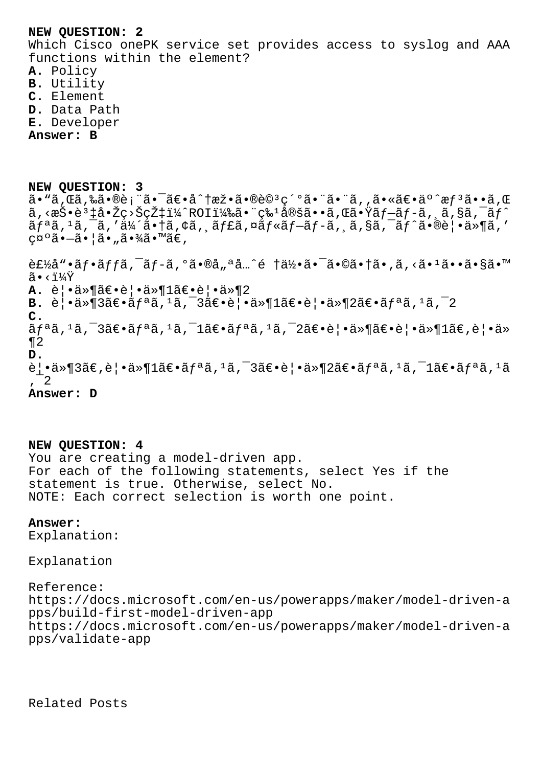## **NEW QUESTION: 2**

Which Cisco onePK service set provides access to syslog and AAA functions within the element?

**A.** Policy

- **B.** Utility
- **C.** Element
- **D.** Data Path
- **E.** Developer

**Answer: B**

**NEW QUESTION: 3**  $\tilde{a}$ •"ã,Œã,‰ã•®è¡"㕨啯é∈•å^†æž•ã•®è© $^3$ 細㕨㕨ã,,㕫〕äº^æ $f$  $^3$ ã••ã,Œ  $\tilde{a}$ , <æ $\check{S}$ •è $^3$ ‡å• $\check{z}$ ç> $\check{S}$ ç $\check{z}$ ‡ï¼ $^2$ ROI)㕨ç‰ $^1$ 定ã••ã,Œã• $\check{z}$ ã $f$  $\tilde{z}$  $f$  $\tilde{z}$  $f$  $\tilde{z}$  $f$  $\tilde{z}$  $f$  $\tilde{z}$  $\tilde{a}f$ <sup>a</sup>ã,<sup>1</sup>ã,<sup>-</sup>ã,'伴㕆ã,¢ã, ¸ãƒ£ã,¤ã $f$ «ã $f$ -ã $f$ -ã, ¸ã,§ã,¯ã $f$ ^㕮覕ä»¶ã,' 礰ã•-㕦ã•"㕾ã•™ã€,

 $\hat{\mathcal{L}}$  $\hat{\mathcal{L}}$ å"•ã $f$ •ã $f$ fã, $\hat{\mathcal{L}}$ ã, $\hat{\mathcal{L}}$ ã•®å"ªå… $\hat{\mathcal{L}}$ é †ä½•ã• $\hat{\mathcal{L}}$ å•íã•,ã, $\hat{\mathcal{L}}$ « $\hat{\mathcal{L}}$ »•ã•§ã• $\mathbb{N}$  $\tilde{a} \cdot \tilde{i} \sqrt{Y}$ **A.** 覕件〕覕ä»¶1〕覕ä»¶2 **B.**  $\hat{e}$  |  $\cdot \hat{a} \times \hat{a}$  3  $\hat{a} \in \hat{a}$   $f$   $a \hat{a}$ ,  $a \hat{a}$ ,  $a \hat{a}$ ,  $a \hat{a}$ ,  $a \hat{a}$ ,  $a \hat{a}$ ,  $a \hat{a}$ ,  $a \hat{a}$ ,  $a \hat{a}$ ,  $a \hat{a}$ ,  $a \hat{a}$ ,  $a \hat{a}$ ,  $a \hat{a}$ ,  $a \hat{a}$ ,  $a \hat{a}$ ,  $a \hat{a}$ ,  $a \hat{a}$ **C.**  $\tilde{a}f^{\mathfrak{a}}\tilde{a}$ ,  $\tilde{a}f^{\mathfrak{a}}\tilde{a}$ ,  $\tilde{a}f^{\mathfrak{a}}\tilde{a}$ ,  $\tilde{a}f^{\mathfrak{a}}\tilde{a}$ ,  $\tilde{a}f^{\mathfrak{a}}\tilde{a}$ ,  $\tilde{a}f^{\mathfrak{a}}\tilde{a}$ ,  $\tilde{a}f^{\mathfrak{a}}\tilde{a}$ ,  $\tilde{a}g^{\mathfrak{a}}$ ,  $\tilde{a}g^{\mathfrak{a}}$ ,  $\tilde{a}g$ ¶2 **D.**  $\hat{\mathsf{e}}$ |•ä»¶3ã€, $\hat{\mathsf{e}}$ |•ä»¶1〕ã $f$ ªã, ${}^{1}$ ã, ${}^{-}$ 3〕 $\hat{\mathsf{e}}$ |•ä»¶2〕ã $f$ ªã, ${}^{1}$ ã, ${}^{-}$ 1ã $\hat{\mathsf{e}}$ •ã $f$ ªã, ${}^{1}$ ã  $^{\prime}$   $^{-2}$ **Answer: D**

**NEW QUESTION: 4**

You are creating a model-driven app. For each of the following statements, select Yes if the statement is true. Otherwise, select No. NOTE: Each correct selection is worth one point.

## **Answer:**

Explanation:

Explanation

Reference: https://docs.microsoft.com/en-us/powerapps/maker/model-driven-a pps/build-first-model-driven-app https://docs.microsoft.com/en-us/powerapps/maker/model-driven-a pps/validate-app

Related Posts